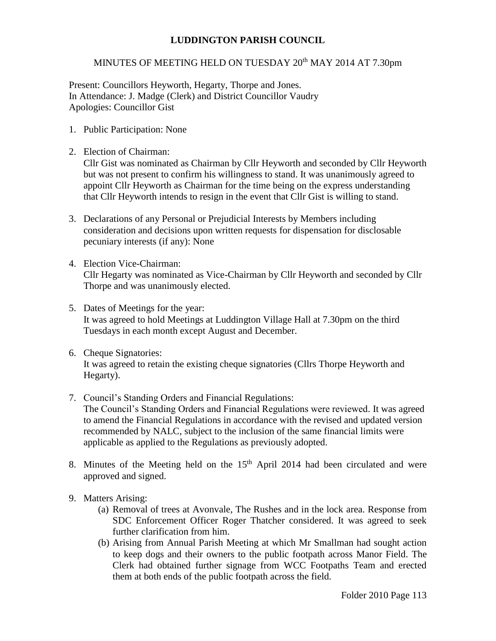## **LUDDINGTON PARISH COUNCIL**

## MINUTES OF MEETING HELD ON TUESDAY 20th MAY 2014 AT 7.30pm

Present: Councillors Heyworth, Hegarty, Thorpe and Jones. In Attendance: J. Madge (Clerk) and District Councillor Vaudry Apologies: Councillor Gist

- 1. Public Participation: None
- 2. Election of Chairman:

Cllr Gist was nominated as Chairman by Cllr Heyworth and seconded by Cllr Heyworth but was not present to confirm his willingness to stand. It was unanimously agreed to appoint Cllr Heyworth as Chairman for the time being on the express understanding that Cllr Heyworth intends to resign in the event that Cllr Gist is willing to stand.

- 3. Declarations of any Personal or Prejudicial Interests by Members including consideration and decisions upon written requests for dispensation for disclosable pecuniary interests (if any): None
- 4. Election Vice-Chairman: Cllr Hegarty was nominated as Vice-Chairman by Cllr Heyworth and seconded by Cllr Thorpe and was unanimously elected.
- 5. Dates of Meetings for the year: It was agreed to hold Meetings at Luddington Village Hall at 7.30pm on the third Tuesdays in each month except August and December.
- 6. Cheque Signatories: It was agreed to retain the existing cheque signatories (Cllrs Thorpe Heyworth and Hegarty).
- 7. Council's Standing Orders and Financial Regulations: The Council's Standing Orders and Financial Regulations were reviewed. It was agreed to amend the Financial Regulations in accordance with the revised and updated version recommended by NALC, subject to the inclusion of the same financial limits were applicable as applied to the Regulations as previously adopted.
- 8. Minutes of the Meeting held on the  $15<sup>th</sup>$  April 2014 had been circulated and were approved and signed.
- 9. Matters Arising:
	- (a) Removal of trees at Avonvale, The Rushes and in the lock area. Response from SDC Enforcement Officer Roger Thatcher considered. It was agreed to seek further clarification from him.
	- (b) Arising from Annual Parish Meeting at which Mr Smallman had sought action to keep dogs and their owners to the public footpath across Manor Field. The Clerk had obtained further signage from WCC Footpaths Team and erected them at both ends of the public footpath across the field.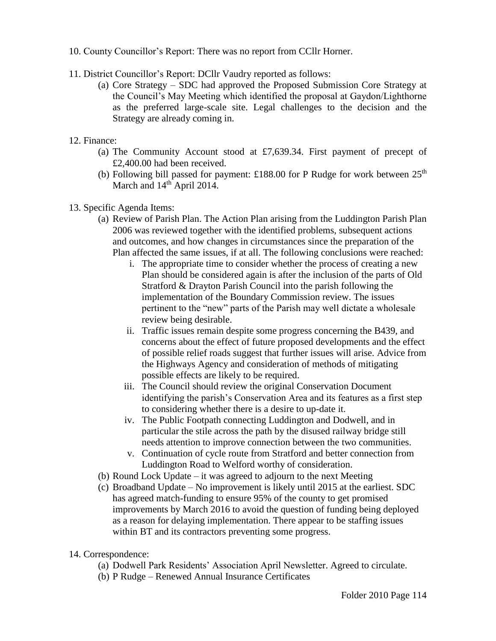- 10. County Councillor's Report: There was no report from CCllr Horner.
- 11. District Councillor's Report: DCllr Vaudry reported as follows:
	- (a) Core Strategy SDC had approved the Proposed Submission Core Strategy at the Council's May Meeting which identified the proposal at Gaydon/Lighthorne as the preferred large-scale site. Legal challenges to the decision and the Strategy are already coming in.
- 12. Finance:
	- (a) The Community Account stood at £7,639.34. First payment of precept of £2,400.00 had been received.
	- (b) Following bill passed for payment: £188.00 for P Rudge for work between  $25<sup>th</sup>$ March and  $14<sup>th</sup>$  April 2014.
- 13. Specific Agenda Items:
	- (a) Review of Parish Plan. The Action Plan arising from the Luddington Parish Plan 2006 was reviewed together with the identified problems, subsequent actions and outcomes, and how changes in circumstances since the preparation of the Plan affected the same issues, if at all. The following conclusions were reached:
		- i. The appropriate time to consider whether the process of creating a new Plan should be considered again is after the inclusion of the parts of Old Stratford & Drayton Parish Council into the parish following the implementation of the Boundary Commission review. The issues pertinent to the "new" parts of the Parish may well dictate a wholesale review being desirable.
		- ii. Traffic issues remain despite some progress concerning the B439, and concerns about the effect of future proposed developments and the effect of possible relief roads suggest that further issues will arise. Advice from the Highways Agency and consideration of methods of mitigating possible effects are likely to be required.
		- iii. The Council should review the original Conservation Document identifying the parish's Conservation Area and its features as a first step to considering whether there is a desire to up-date it.
		- iv. The Public Footpath connecting Luddington and Dodwell, and in particular the stile across the path by the disused railway bridge still needs attention to improve connection between the two communities.
		- v. Continuation of cycle route from Stratford and better connection from Luddington Road to Welford worthy of consideration.
	- (b) Round Lock Update it was agreed to adjourn to the next Meeting
	- (c) Broadband Update No improvement is likely until 2015 at the earliest. SDC has agreed match-funding to ensure 95% of the county to get promised improvements by March 2016 to avoid the question of funding being deployed as a reason for delaying implementation. There appear to be staffing issues within BT and its contractors preventing some progress.
- 14. Correspondence:
	- (a) Dodwell Park Residents' Association April Newsletter. Agreed to circulate.
	- (b) P Rudge Renewed Annual Insurance Certificates